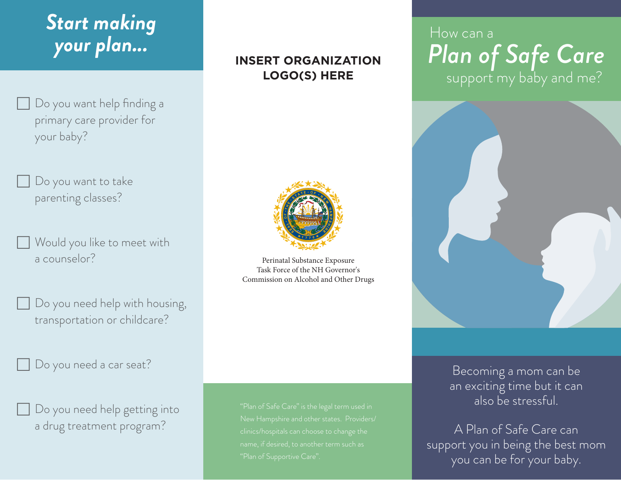# *Start making your plan...*

- Do you want help finding a primary care provider for your baby?
- Do you want to take parenting classes?
- Would you like to meet with a counselor?
- Do you need help with housing, transportation or childcare?
- Do you need a car seat?



**INSERT ORGANIZATION LOGO(S) HERE**



Perinatal Substance Exposure Task Force of the NH Governor's Commission on Alcohol and Other Drugs

## How can a *Plan of Safe Care* support my baby and me?



Becoming a mom can be an exciting time but it can also be stressful.

A Plan of Safe Care can support you in being the best mom you can be for your baby.